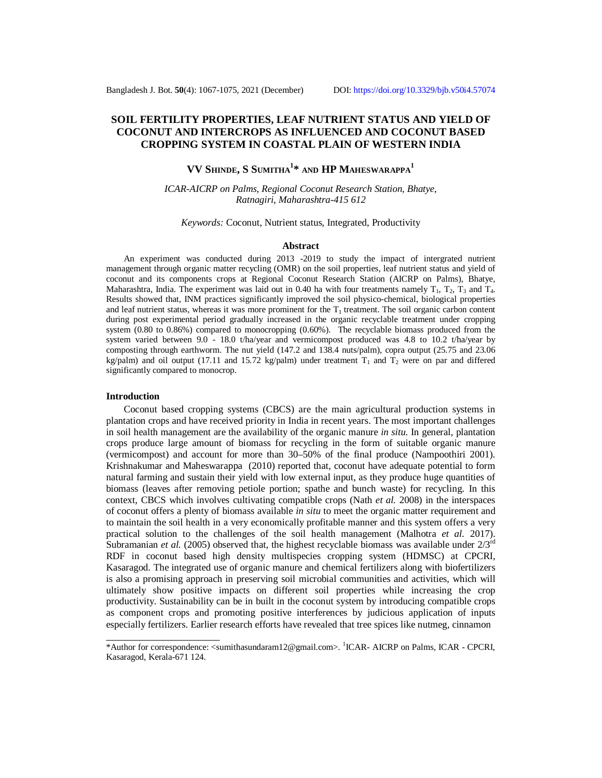# **SOIL FERTILITY PROPERTIES, LEAF NUTRIENT STATUS AND YIELD OF COCONUT AND INTERCROPS AS INFLUENCED AND COCONUT BASED CROPPING SYSTEM IN COASTAL PLAIN OF WESTERN INDIA**

# **VV SHINDE, S SUMITHA<sup>1</sup> \* AND HP MAHESWARAPPA<sup>1</sup>**

*ICAR-AICRP on Palms, Regional Coconut Research Station, Bhatye, Ratnagiri, Maharashtra-415 612*

*Keywords:* Coconut, Nutrient status, Integrated, Productivity

#### **Abstract**

An experiment was conducted during 2013 -2019 to study the impact of intergrated nutrient management through organic matter recycling (OMR) on the soil properties, leaf nutrient status and yield of coconut and its components crops at Regional Coconut Research Station (AICRP on Palms), Bhatye, Maharashtra, India. The experiment was laid out in 0.40 ha with four treatments namely  $T_1$ ,  $T_2$ ,  $T_3$  and  $T_4$ . Results showed that, INM practices significantly improved the soil physico-chemical, biological properties and leaf nutrient status, whereas it was more prominent for the  $T_1$  treatment. The soil organic carbon content during post experimental period gradually increased in the organic recyclable treatment under cropping system (0.80 to 0.86%) compared to monocropping (0.60%). The recyclable biomass produced from the system varied between 9.0 - 18.0 t/ha/year and vermicompost produced was 4.8 to 10.2 t/ha/year by composting through earthworm. The nut yield (147.2 and 138.4 nuts/palm), copra output (25.75 and 23.06 kg/palm) and oil output (17.11 and 15.72 kg/palm) under treatment  $T_1$  and  $T_2$  were on par and differed significantly compared to monocrop.

#### **Introduction**

Coconut based cropping systems (CBCS) are the main agricultural production systems in plantation crops and have received priority in India in recent years. The most important challenges in soil health management are the availability of the organic manure *in situ*. In general, plantation crops produce large amount of biomass for recycling in the form of suitable organic manure (vermicompost) and account for more than 30–50% of the final produce (Nampoothiri 2001). Krishnakumar and Maheswarappa (2010) reported that, coconut have adequate potential to form natural farming and sustain their yield with low external input, as they produce huge quantities of biomass (leaves after removing petiole portion; spathe and bunch waste) for recycling. In this context, CBCS which involves cultivating compatible crops (Nath *et al.* 2008) in the interspaces of coconut offers a plenty of biomass available *in situ* to meet the organic matter requirement and to maintain the soil health in a very economically profitable manner and this system offers a very practical solution to the challenges of the soil health management (Malhotra *et al.* 2017). Subramanian *et al.* (2005) observed that, the highest recyclable biomass was available under  $2/3<sup>rd</sup>$ RDF in coconut based high density multispecies cropping system (HDMSC) at CPCRI, Kasaragod. The integrated use of organic manure and chemical fertilizers along with biofertilizers is also a promising approach in preserving soil microbial communities and activities, which will ultimately show positive impacts on different soil properties while increasing the crop productivity. Sustainability can be in built in the coconut system by introducing compatible crops as component crops and promoting positive interferences by judicious application of inputs especially fertilizers. Earlier research efforts have revealed that tree spices like nutmeg, cinnamon

<sup>\*</sup>Author for correspondence: <[sumithasundaram12@gmail.com>](mailto:sumithasundaram12@gmail.com). <sup>1</sup>ICAR- AICRP on Palms, ICAR - CPCRI, Kasaragod, Kerala-671 124.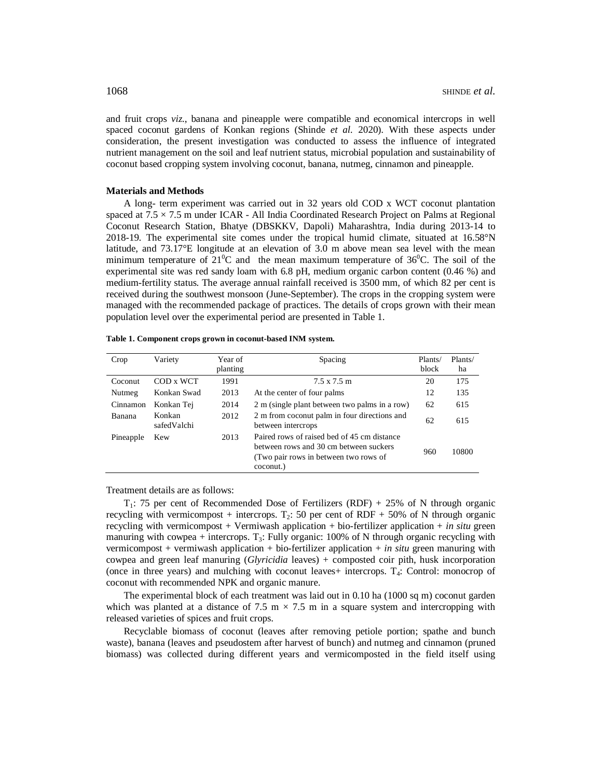and fruit crops *viz*., banana and pineapple were compatible and economical intercrops in well spaced coconut gardens of Konkan regions (Shinde *et al.* 2020). With these aspects under consideration, the present investigation was conducted to assess the influence of integrated nutrient management on the soil and leaf nutrient status, microbial population and sustainability of coconut based cropping system involving coconut, banana, nutmeg, cinnamon and pineapple.

# **Materials and Methods**

A long- term experiment was carried out in 32 years old COD x WCT coconut plantation spaced at  $7.5 \times 7.5$  m under ICAR - All India Coordinated Research Project on Palms at Regional Coconut Research Station, Bhatye (DBSKKV, Dapoli) Maharashtra, India during 2013-14 to 2018-19. The experimental site comes under the tropical humid climate, situated at 16.58°N latitude, and 73.17°E longitude at an elevation of 3.0 m above mean sea level with the mean minimum temperature of  $21^{\circ}$ C and the mean maximum temperature of 36 $^{\circ}$ C. The soil of the experimental site was red sandy loam with 6.8 pH, medium organic carbon content (0.46 %) and medium-fertility status. The average annual rainfall received is 3500 mm, of which 82 per cent is received during the southwest monsoon (June-September). The crops in the cropping system were managed with the recommended package of practices. The details of crops grown with their mean population level over the experimental period are presented in Table 1.

| Crop      | Variety               | Year of<br>planting | Spacing                                                                                                                                     | Plants/<br>block | Plants/<br>ha |
|-----------|-----------------------|---------------------|---------------------------------------------------------------------------------------------------------------------------------------------|------------------|---------------|
| Coconut   | COD x WCT             | 1991                | 7.5 x 7.5 m                                                                                                                                 | 20               | 175           |
| Nutmeg    | Konkan Swad           | 2013                | At the center of four palms                                                                                                                 | 12               | 135           |
| Cinnamon  | Konkan Tej            | 2014                | 2 m (single plant between two palms in a row)                                                                                               | 62               | 615           |
| Banana    | Konkan<br>safedValchi | 2012                | 2 m from coconut palm in four directions and<br>between intercrops                                                                          | 62               | 615           |
| Pineapple | Kew                   | 2013                | Paired rows of raised bed of 45 cm distance<br>between rows and 30 cm between suckers<br>(Two pair rows in between two rows of<br>coconut.) | 960              | 10800         |

**Table 1. Component crops grown in coconut-based INM system.**

Treatment details are as follows:

 $T_1$ : 75 per cent of Recommended Dose of Fertilizers (RDF) + 25% of N through organic recycling with vermicompost + intercrops.  $T_2$ : 50 per cent of RDF + 50% of N through organic recycling with vermicompost  $+$  Vermiwash application  $+$  bio-fertilizer application  $+$  *in situ* green manuring with cowpea + intercrops.  $T_3$ : Fully organic: 100% of N through organic recycling with vermicompost + vermiwash application + bio-fertilizer application + *in situ* green manuring with cowpea and green leaf manuring (*Glyricidia* leaves) + composted coir pith, husk incorporation (once in three years) and mulching with coconut leaves+ intercrops. T<sub>4</sub>: Control: monocrop of coconut with recommended NPK and organic manure.

The experimental block of each treatment was laid out in 0.10 ha (1000 sq m) coconut garden which was planted at a distance of 7.5 m  $\times$  7.5 m in a square system and intercropping with released varieties of spices and fruit crops.

Recyclable biomass of coconut (leaves after removing petiole portion; spathe and bunch waste), banana (leaves and pseudostem after harvest of bunch) and nutmeg and cinnamon (pruned biomass) was collected during different years and vermicomposted in the field itself using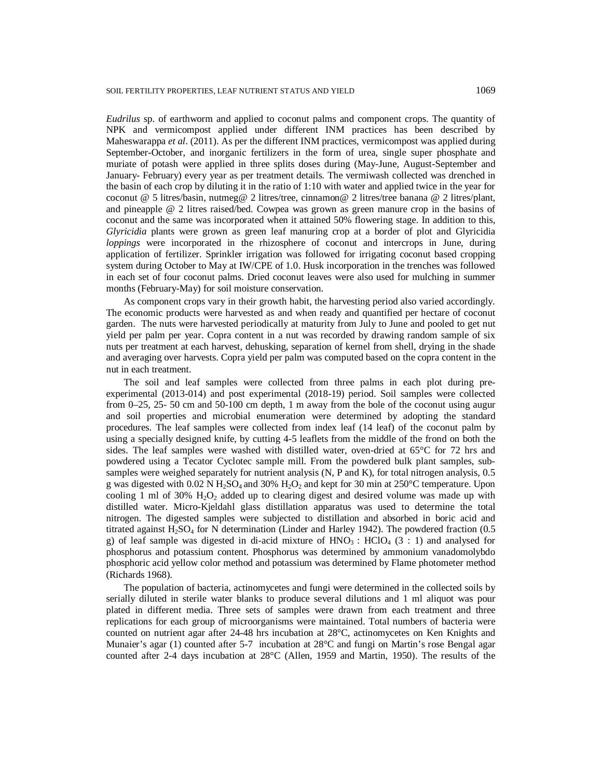*Eudrilus* sp. of earthworm and applied to coconut palms and component crops. The quantity of NPK and vermicompost applied under different INM practices has been described by Maheswarappa *et al*. (2011). As per the different INM practices, vermicompost was applied during September-October, and inorganic fertilizers in the form of urea, single super phosphate and muriate of potash were applied in three splits doses during (May-June, August-September and January- February) every year as per treatment details. The vermiwash collected was drenched in the basin of each crop by diluting it in the ratio of 1:10 with water and applied twice in the year for coconut @ 5 litres/basin, nutmeg@ 2 litres/tree, cinnamon@ 2 litres/tree banana @ 2 litres/plant, and pineapple @ 2 litres raised/bed. Cowpea was grown as green manure crop in the basins of coconut and the same was incorporated when it attained 50% flowering stage. In addition to this, *Glyricidia* plants were grown as green leaf manuring crop at a border of plot and Glyricidia *loppings* were incorporated in the rhizosphere of coconut and intercrops in June, during application of fertilizer. Sprinkler irrigation was followed for irrigating coconut based cropping system during October to May at IW/CPE of 1.0. Husk incorporation in the trenches was followed in each set of four coconut palms. Dried coconut leaves were also used for mulching in summer months (February-May) for soil moisture conservation.

As component crops vary in their growth habit, the harvesting period also varied accordingly. The economic products were harvested as and when ready and quantified per hectare of coconut garden. The nuts were harvested periodically at maturity from July to June and pooled to get nut yield per palm per year. Copra content in a nut was recorded by drawing random sample of six nuts per treatment at each harvest, dehusking, separation of kernel from shell, drying in the shade and averaging over harvests. Copra yield per palm was computed based on the copra content in the nut in each treatment.

The soil and leaf samples were collected from three palms in each plot during preexperimental (2013-014) and post experimental (2018-19) period. Soil samples were collected from 0–25, 25- 50 cm and 50-100 cm depth, 1 m away from the bole of the coconut using augur and soil properties and microbial enumeration were determined by adopting the standard procedures. The leaf samples were collected from index leaf (14 leaf) of the coconut palm by using a specially designed knife, by cutting 4-5 leaflets from the middle of the frond on both the sides. The leaf samples were washed with distilled water, oven-dried at 65°C for 72 hrs and powdered using a Tecator Cyclotec sample mill. From the powdered bulk plant samples, subsamples were weighed separately for nutrient analysis (N, P and K), for total nitrogen analysis, 0.5 g was digested with 0.02 N  $H_2SO_4$  and 30%  $H_2O_2$  and kept for 30 min at 250°C temperature. Upon cooling 1 ml of 30%  $H_2O_2$  added up to clearing digest and desired volume was made up with distilled water. Micro-Kjeldahl glass distillation apparatus was used to determine the total nitrogen. The digested samples were subjected to distillation and absorbed in boric acid and titrated against  $H<sub>2</sub>SO<sub>4</sub>$  for N determination (Linder and Harley 1942). The powdered fraction (0.5 g) of leaf sample was digested in di-acid mixture of  $HNO<sub>3</sub>$ :  $HClO<sub>4</sub>$  (3 : 1) and analysed for phosphorus and potassium content. Phosphorus was determined by ammonium vanadomolybdo phosphoric acid yellow color method and potassium was determined by Flame photometer method (Richards 1968).

The population of bacteria, actinomycetes and fungi were determined in the collected soils by serially diluted in sterile water blanks to produce several dilutions and 1 ml aliquot was pour plated in different media. Three sets of samples were drawn from each treatment and three replications for each group of microorganisms were maintained. Total numbers of bacteria were counted on nutrient agar after 24-48 hrs incubation at 28°C, actinomycetes on Ken Knights and Munaier's agar (1) counted after 5-7 incubation at 28°C and fungi on Martin's rose Bengal agar counted after 2-4 days incubation at 28°C (Allen, 1959 and Martin, 1950). The results of the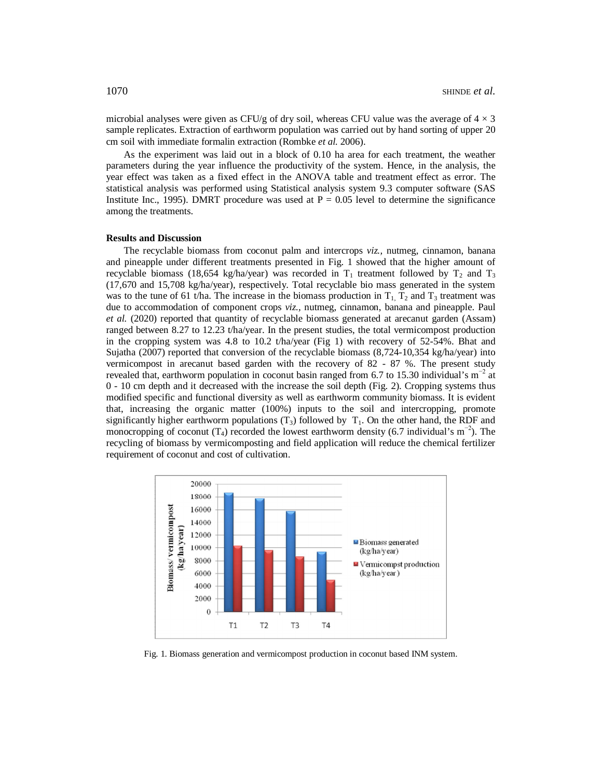microbial analyses were given as CFU/g of dry soil, whereas CFU value was the average of  $4 \times 3$ sample replicates. Extraction of earthworm population was carried out by hand sorting of upper 20 cm soil with immediate formalin extraction (Rombke *et al.* 2006).

As the experiment was laid out in a block of 0.10 ha area for each treatment, the weather parameters during the year influence the productivity of the system. Hence, in the analysis, the year effect was taken as a fixed effect in the ANOVA table and treatment effect as error. The statistical analysis was performed using Statistical analysis system 9.3 computer software (SAS Institute Inc., 1995). DMRT procedure was used at  $P = 0.05$  level to determine the significance among the treatments.

## **Results and Discussion**

The recyclable biomass from coconut palm and intercrops *viz.,* nutmeg, cinnamon, banana and pineapple under different treatments presented in Fig. 1 showed that the higher amount of recyclable biomass (18,654 kg/ha/year) was recorded in  $T_1$  treatment followed by  $T_2$  and  $T_3$ (17,670 and 15,708 kg/ha/year), respectively. Total recyclable bio mass generated in the system was to the tune of 61 t/ha. The increase in the biomass production in  $T_1$ ,  $T_2$  and  $T_3$  treatment was due to accommodation of component crops *viz.,* nutmeg, cinnamon, banana and pineapple. Paul *et al.* (2020) reported that quantity of recyclable biomass generated at arecanut garden (Assam) ranged between 8.27 to 12.23 t/ha/year. In the present studies, the total vermicompost production in the cropping system was 4.8 to 10.2 t/ha/year (Fig 1) with recovery of 52-54%. Bhat and Sujatha (2007) reported that conversion of the recyclable biomass (8,724-10,354 kg/ha/year) into vermicompost in arecanut based garden with the recovery of 82 - 87 %. The present study revealed that, earthworm population in coconut basin ranged from 6.7 to 15.30 individual's  $m^{-2}$  at 0 - 10 cm depth and it decreased with the increase the soil depth (Fig. 2). Cropping systems thus modified specific and functional diversity as well as earthworm community biomass. It is evident that, increasing the organic matter (100%) inputs to the soil and intercropping, promote significantly higher earthworm populations  $(T_3)$  followed by  $T_1$ . On the other hand, the RDF and monocropping of coconut (T<sub>4</sub>) recorded the lowest earthworm density (6.7 individual's m<sup>-2</sup>). The recycling of biomass by vermicomposting and field application will reduce the chemical fertilizer requirement of coconut and cost of cultivation.



Fig. 1. Biomass generation and vermicompost production in coconut based INM system.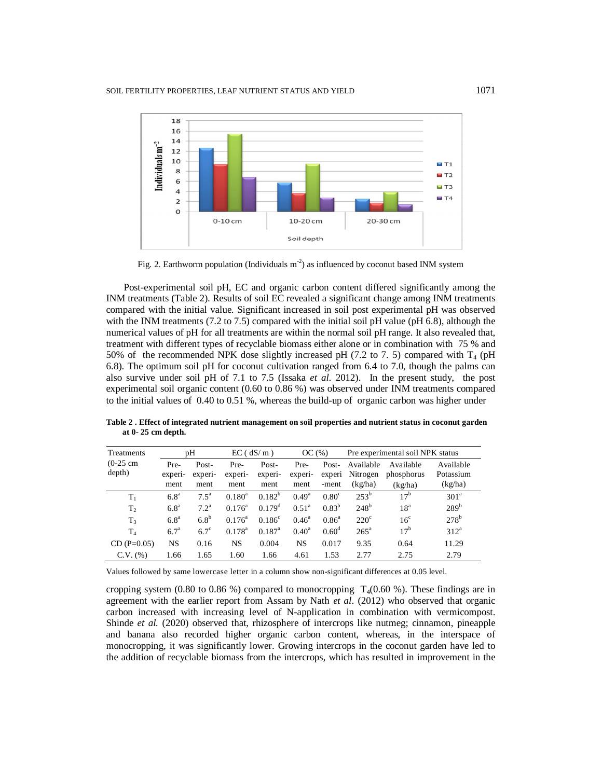

Fig. 2. Earthworm population (Individuals  $m<sup>2</sup>$ ) as influenced by coconut based INM system

Post-experimental soil pH, EC and organic carbon content differed significantly among the INM treatments (Table 2). Results of soil EC revealed a significant change among INM treatments compared with the initial value. Significant increased in soil post experimental pH was observed with the INM treatments (7.2 to 7.5) compared with the initial soil pH value (pH 6.8), although the numerical values of pH for all treatments are within the normal soil pH range. It also revealed that, treatment with different types of recyclable biomass either alone or in combination with 75 % and 50% of the recommended NPK dose slightly increased pH (7.2 to 7. 5) compared with  $T_4$  (pH 6.8). The optimum soil pH for coconut cultivation ranged from 6.4 to 7.0, though the palms can also survive under soil pH of 7.1 to 7.5 (Issaka *et al*. 2012). In the present study, the post experimental soil organic content (0.60 to 0.86 %) was observed under INM treatments compared to the initial values of 0.40 to 0.51 %, whereas the build-up of organic carbon was higher under

| Treatments     | pH               |               | $EC$ ( $dS/m$ ) |                 | OC(%)          |                | Pre experimental soil NPK status |                 |                  |
|----------------|------------------|---------------|-----------------|-----------------|----------------|----------------|----------------------------------|-----------------|------------------|
| $(0-25)$ cm    | Pre-             | Post-         | Pre-            | Post-           | Pre-           | Post-          | Available                        | Available       | Available        |
| depth)         | experi-          | experi-       | experi-         | experi-         | experi-        | experi         | Nitrogen                         | phosphorus      | Potassium        |
|                | ment             | ment          | ment            | ment            | ment           | -ment          | (kg/ha)                          | (kg/ha)         | (kg/ha)          |
| $T_1$          | 6.8 <sup>a</sup> | $7.5^{\circ}$ | $0.180^a$       | $0.182^{b}$     | $0.49^{\rm a}$ | $0.80^\circ$   | $253^{\rm b}$                    | 17 <sup>b</sup> | 301 <sup>a</sup> |
| T <sub>2</sub> | 6.8 <sup>a</sup> | $7.2^{\rm a}$ | $0.176^{\rm a}$ | $0.179^d$       | $0.51^{\rm a}$ | $0.83^{b}$     | $248^{\rm b}$                    | 18 <sup>a</sup> | 289 <sup>b</sup> |
| $T_3$          | 6.8 <sup>a</sup> | $6.8^{b}$     | $0.176^{\rm a}$ | $0.186^{\circ}$ | $0.46^{\circ}$ | $0.86^{\circ}$ | $220^{\circ}$                    | 16 <sup>c</sup> | $278^{\rm b}$    |
| $T_{4}$        | $6.7^{\rm a}$    | $6.7^\circ$   | $0.178^{\rm a}$ | $0.187^{\rm a}$ | $0.40^a$       | $0.60^{\rm d}$ | $265^{\circ}$                    | 17 <sup>b</sup> | $312^a$          |
| $CD(P=0.05)$   | NS               | 0.16          | NS              | 0.004           | NS             | 0.017          | 9.35                             | 0.64            | 11.29            |
| $C.V.$ $(\%)$  | 1.66             | 1.65          | 1.60            | 1.66            | 4.61           | 1.53           | 2.77                             | 2.75            | 2.79             |

**Table 2 . Effect of integrated nutrient management on soil properties and nutrient status in coconut garden at 0- 25 cm depth.**

Values followed by same lowercase letter in a column show non-significant differences at 0.05 level.

cropping system (0.80 to 0.86 %) compared to monocropping  $T<sub>4</sub>(0.60 \%)$ . These findings are in agreement with the earlier report from Assam by Nath *et al*. (2012) who observed that organic carbon increased with increasing level of N-application in combination with vermicompost. Shinde *et al.* (2020) observed that, rhizosphere of intercrops like nutmeg; cinnamon, pineapple and banana also recorded higher organic carbon content, whereas, in the interspace of monocropping, it was significantly lower. Growing intercrops in the coconut garden have led to the addition of recyclable biomass from the intercrops, which has resulted in improvement in the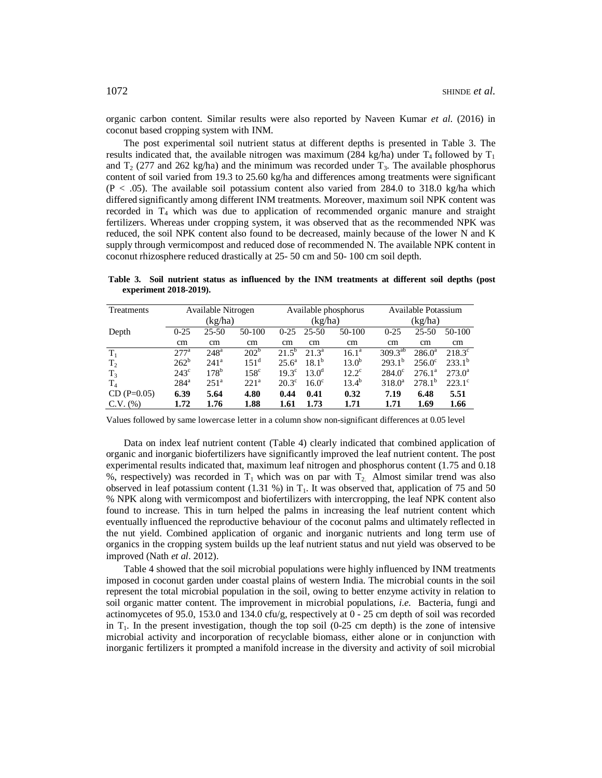organic carbon content. Similar results were also reported by Naveen Kumar *et al*. (2016) in coconut based cropping system with INM.

The post experimental soil nutrient status at different depths is presented in Table 3. The results indicated that, the available nitrogen was maximum (284 kg/ha) under  $T_4$  followed by  $T_1$ and  $T_2$  (277 and 262 kg/ha) and the minimum was recorded under  $T_3$ . The available phosphorus content of soil varied from 19.3 to 25.60 kg/ha and differences among treatments were significant  $(P < .05)$ . The available soil potassium content also varied from 284.0 to 318.0 kg/ha which differed significantly among different INM treatments. Moreover, maximum soil NPK content was recorded in  $T_4$  which was due to application of recommended organic manure and straight fertilizers. Whereas under cropping system, it was observed that as the recommended NPK was reduced, the soil NPK content also found to be decreased, mainly because of the lower N and K supply through vermicompost and reduced dose of recommended N. The available NPK content in coconut rhizosphere reduced drastically at 25- 50 cm and 50- 100 cm soil depth.

**Table 3. Soil nutrient status as influenced by the INM treatments at different soil depths (post experiment 2018-2019).**

| Treatments     | Available Nitrogen |                  |                  |                |                   | Available phosphorus | Available Potassium |                 |                 |
|----------------|--------------------|------------------|------------------|----------------|-------------------|----------------------|---------------------|-----------------|-----------------|
|                | (kg/ha)            |                  |                  |                | (kg/ha)           |                      | (kg/ha)             |                 |                 |
| Depth          | $0 - 25$           | $25 - 50$        | 50-100           | $0-25$         | $25 - 50$         | 50-100               | $0 - 25$            | $25 - 50$       | 50-100          |
|                | cm                 | cm               | cm               | cm             | cm                | cm                   | cm                  | cm              | cm              |
| $T_1$          | 2.77 <sup>a</sup>  | 248 <sup>a</sup> | 202 <sup>b</sup> | $21.5^b$       | 21.3 <sup>a</sup> | $16.1^{\circ}$       | $309.3^{ab}$        | $286.0^a$       | $218.3^{\circ}$ |
| T <sub>2</sub> | $262^b$            | 241 <sup>a</sup> | $151^d$          | $25.6^{\circ}$ | $18.1^{b}$        | $13.0^{b}$           | $293.1^{b}$         | $256.0^{\circ}$ | $233.1^{b}$     |
| $T_3$          | $243^{\circ}$      | 178 <sup>b</sup> | 158 <sup>c</sup> | $19.3^{\circ}$ | $13.0^{\rm d}$    | $12.2^{\circ}$       | $284.0^{\circ}$     | $276.1^a$       | $273.0^{\circ}$ |
| $T_4$          | $284^{\mathrm{a}}$ | 251 <sup>a</sup> | 221 <sup>a</sup> | $20.3^\circ$   | $16.0^{\circ}$    | $13.4^{b}$           | $318.0^a$           | $278.1^{b}$     | $223.1^{\circ}$ |
| $CD (P=0.05)$  | 6.39               | 5.64             | 4.80             | 0.44           | 0.41              | 0.32                 | 7.19                | 6.48            | 5.51            |
| $C.V.$ (%)     | 1.72               | 1.76             | 1.88             | 1.61           | 1.73              | 1.71                 | 1.71                | 1.69            | 1.66            |

Values followed by same lowercase letter in a column show non-significant differences at 0.05 level

Data on index leaf nutrient content (Table 4) clearly indicated that combined application of organic and inorganic biofertilizers have significantly improved the leaf nutrient content. The post experimental results indicated that, maximum leaf nitrogen and phosphorus content (1.75 and 0.18 %, respectively) was recorded in  $T_1$  which was on par with  $T_2$ . Almost similar trend was also observed in leaf potassium content (1.31 %) in  $T_1$ . It was observed that, application of 75 and 50 % NPK along with vermicompost and biofertilizers with intercropping, the leaf NPK content also found to increase. This in turn helped the palms in increasing the leaf nutrient content which eventually influenced the reproductive behaviour of the coconut palms and ultimately reflected in the nut yield. Combined application of organic and inorganic nutrients and long term use of organics in the cropping system builds up the leaf nutrient status and nut yield was observed to be improved (Nath *et al*. 2012).

Table 4 showed that the soil microbial populations were highly influenced by INM treatments imposed in coconut garden under coastal plains of western India. The microbial counts in the soil represent the total microbial population in the soil, owing to better enzyme activity in relation to soil organic matter content. The improvement in microbial populations, *i.e.* Bacteria, fungi and actinomycetes of 95.0, 153.0 and 134.0 cfu/g, respectively at 0 - 25 cm depth of soil was recorded in  $T_1$ . In the present investigation, though the top soil (0-25 cm depth) is the zone of intensive microbial activity and incorporation of recyclable biomass, either alone or in conjunction with inorganic fertilizers it prompted a manifold increase in the diversity and activity of soil microbial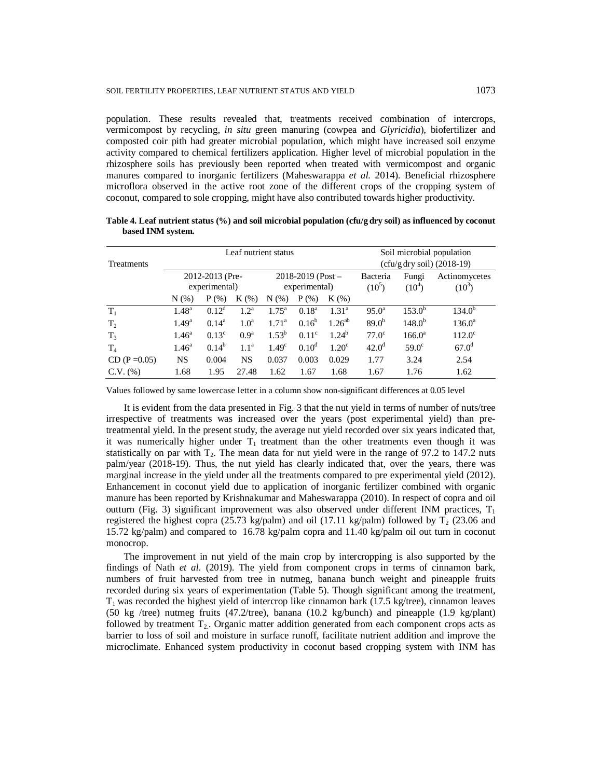population. These results revealed that, treatments received combination of intercrops, vermicompost by recycling, *in situ* green manuring (cowpea and *Glyricidia*), biofertilizer and composted coir pith had greater microbial population, which might have increased soil enzyme activity compared to chemical fertilizers application. Higher level of microbial population in the rhizosphere soils has previously been reported when treated with vermicompost and organic manures compared to inorganic fertilizers (Maheswarappa *et al.* 2014). Beneficial rhizosphere microflora observed in the active root zone of the different crops of the cropping system of coconut, compared to sole cropping, might have also contributed towards higher productivity.

| Leaf nutrient status |                   |                 |                  |                         |                              |                   | Soil microbial population |                 |                 |  |
|----------------------|-------------------|-----------------|------------------|-------------------------|------------------------------|-------------------|---------------------------|-----------------|-----------------|--|
| <b>Treatments</b>    |                   |                 |                  |                         | $(cfu/g dry soil)$ (2018-19) |                   |                           |                 |                 |  |
|                      |                   | 2012-2013 (Pre- |                  | $2018 - 2019$ (Post $-$ |                              |                   | Bacteria                  | Fungi           | Actinomycetes   |  |
|                      | experimental)     |                 | experimental)    |                         |                              | $(10^5)$          | $(10^4)$                  | $(10^3)$        |                 |  |
|                      | $N$ $(\%)$        | $P$ (%)         | $K(\%)$          | $N$ $(\%)$              | $P$ (%)                      | $K(\%)$           |                           |                 |                 |  |
| $T_1$                | $1.48^a$          | $0.12^d$        | $1.2^a$          | $1.75^{\rm a}$          | $0.18^{\rm a}$               | 1.31 <sup>a</sup> | $95.0^{\circ}$            | $153.0^{b}$     | $134.0^{b}$     |  |
| T <sub>2</sub>       | $1.49^{\rm a}$    | $0.14^a$        | 1.0 <sup>a</sup> | 1.71 <sup>a</sup>       | $0.16^{b}$                   | $1.26^{ab}$       | 89.0 <sup>b</sup>         | $148.0^{b}$     | $136.0^{\rm a}$ |  |
| $T_3$                | 1.46 <sup>a</sup> | $0.13^{\circ}$  | 0.9 <sup>a</sup> | $1.53^{b}$              | $0.11^{\circ}$               | $1.24^{b}$        | $77.0^\circ$              | $166.0^{\circ}$ | $112.0^{\circ}$ |  |
| $T_4$                | 1.46 <sup>a</sup> | $0.14^{b}$      | 1.1 <sup>a</sup> | 1.49 <sup>c</sup>       | $0.10^d$                     | 1.20 <sup>c</sup> | 42.0 <sup>d</sup>         | $59.0^\circ$    | $67.0^{\rm d}$  |  |
| $CD (P = 0.05)$      | <b>NS</b>         | 0.004           | NS               | 0.037                   | 0.003                        | 0.029             | 1.77                      | 3.24            | 2.54            |  |
| $C.V.$ $%$           | 1.68              | 1.95            | 27.48            | 1.62                    | 1.67                         | 1.68              | 1.67                      | 1.76            | 1.62            |  |

**Table 4. Leaf nutrient status (%) and soil microbial population (cfu/g dry soil) as influenced by coconut based INM system.**

Values followed by same lowercase letter in a column show non-significant differences at 0.05 level

It is evident from the data presented in Fig. 3 that the nut yield in terms of number of nuts/tree irrespective of treatments was increased over the years (post experimental yield) than pretreatmental yield. In the present study, the average nut yield recorded over six years indicated that, it was numerically higher under  $T_1$  treatment than the other treatments even though it was statistically on par with  $T_2$ . The mean data for nut yield were in the range of 97.2 to 147.2 nuts palm/year (2018-19). Thus, the nut yield has clearly indicated that, over the years, there was marginal increase in the yield under all the treatments compared to pre experimental yield (2012). Enhancement in coconut yield due to application of inorganic fertilizer combined with organic manure has been reported by Krishnakumar and Maheswarappa (2010). In respect of copra and oil outturn (Fig. 3) significant improvement was also observed under different INM practices,  $T_1$ registered the highest copra (25.73 kg/palm) and oil (17.11 kg/palm) followed by  $T_2$  (23.06 and 15.72 kg/palm) and compared to 16.78 kg/palm copra and 11.40 kg/palm oil out turn in coconut monocrop.

The improvement in nut yield of the main crop by intercropping is also supported by the findings of Nath *et al.* (2019). The yield from component crops in terms of cinnamon bark, numbers of fruit harvested from tree in nutmeg, banana bunch weight and pineapple fruits recorded during six years of experimentation (Table 5). Though significant among the treatment,  $T_1$  was recorded the highest yield of intercrop like cinnamon bark (17.5 kg/tree), cinnamon leaves (50 kg /tree) nutmeg fruits (47.2/tree), banana (10.2 kg/bunch) and pineapple (1.9 kg/plant) followed by treatment  $T_2$ . Organic matter addition generated from each component crops acts as barrier to loss of soil and moisture in surface runoff, facilitate nutrient addition and improve the microclimate. Enhanced system productivity in coconut based cropping system with INM has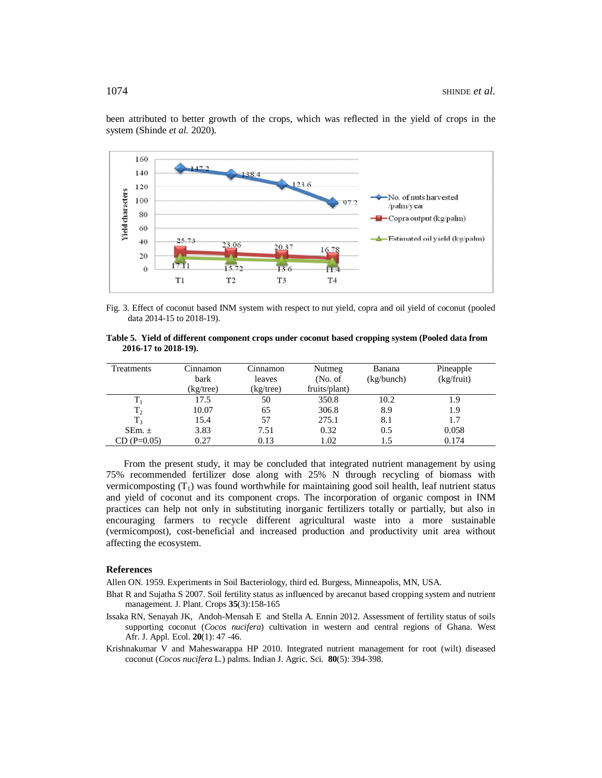

been attributed to better growth of the crops, which was reflected in the yield of crops in the system (Shinde *et al.* 2020).

Fig. 3. Effect of coconut based INM system with respect to nut yield, copra and oil yield of coconut (pooled data 2014-15 to 2018-19).

|  |                      |  |  | Table 5. Yield of different component crops under coconut based cropping system (Pooled data from |  |
|--|----------------------|--|--|---------------------------------------------------------------------------------------------------|--|
|  | 2016-17 to 2018-19). |  |  |                                                                                                   |  |

| Treatments     | Cinnamon<br>bark<br>(kg/tree) | Cinnamon<br>leaves<br>(kg/tree) | Nutmeg<br>(No. of)<br>fruits/plant) | Banana<br>(kg/bunch) | Pineapple<br>$(kg$ fruit) |
|----------------|-------------------------------|---------------------------------|-------------------------------------|----------------------|---------------------------|
|                |                               |                                 |                                     |                      |                           |
| $\rm T_1$      | 17.5                          | 50                              | 350.8                               | 10.2                 | 1.9                       |
| $T_2$          | 10.07                         | 65                              | 306.8                               | 8.9                  | 1.9                       |
| T <sub>3</sub> | 15.4                          | 57                              | 275.1                               | 8.1                  | 1.7                       |
| SEm. $\pm$     | 3.83                          | 7.51                            | 0.32                                | 0.5                  | 0.058                     |
| $CD(P=0.05)$   | 0.27                          | 0.13                            | 1.02                                | 1.5                  | 0.174                     |

From the present study, it may be concluded that integrated nutrient management by using 75% recommended fertilizer dose along with 25% N through recycling of biomass with vermicomposting  $(T_1)$  was found worthwhile for maintaining good soil health, leaf nutrient status and yield of coconut and its component crops. The incorporation of organic compost in INM practices can help not only in substituting inorganic fertilizers totally or partially, but also in encouraging farmers to recycle different agricultural waste into a more sustainable (vermicompost), cost-beneficial and increased production and productivity unit area without affecting the ecosystem.

# **References**

Allen ON. 1959. Experiments in Soil Bacteriology, third ed. Burgess, Minneapolis, MN, USA.

- Bhat R and Sujatha S 2007. Soil fertility status as influenced by arecanut based cropping system and nutrient management. J. Plant. Crops **35**(3):158-165
- Issaka RN, Senayah JK, Andoh-Mensah E and Stella A. Ennin 2012. Assessment of fertility status of soils supporting coconut (*Cocos nucifera*) cultivation in western and central regions of Ghana. West Afr. J. Appl. Ecol. **20**(1): 47 -46.
- Krishnakumar V and Maheswarappa HP 2010. Integrated nutrient management for root (wilt) diseased coconut (*Cocos nucifera* L*.*) palms. Indian J. Agric. Sci. **80**(5): 394-398.